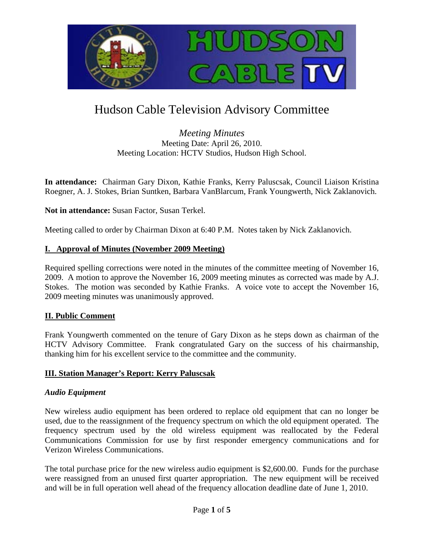

# Hudson Cable Television Advisory Committee

*Meeting Minutes* Meeting Date: April 26, 2010. Meeting Location: HCTV Studios, Hudson High School.

**In attendance:** Chairman Gary Dixon, Kathie Franks, Kerry Paluscsak, Council Liaison Kristina Roegner, A. J. Stokes, Brian Suntken, Barbara VanBlarcum, Frank Youngwerth, Nick Zaklanovich.

**Not in attendance:** Susan Factor, Susan Terkel.

Meeting called to order by Chairman Dixon at 6:40 P.M. Notes taken by Nick Zaklanovich.

### **I. Approval of Minutes (November 2009 Meeting)**

Required spelling corrections were noted in the minutes of the committee meeting of November 16, 2009. A motion to approve the November 16, 2009 meeting minutes as corrected was made by A.J. Stokes. The motion was seconded by Kathie Franks. A voice vote to accept the November 16, 2009 meeting minutes was unanimously approved.

#### **II. Public Comment**

Frank Youngwerth commented on the tenure of Gary Dixon as he steps down as chairman of the HCTV Advisory Committee. Frank congratulated Gary on the success of his chairmanship, thanking him for his excellent service to the committee and the community.

#### **III. Station Manager's Report: Kerry Paluscsak**

#### *Audio Equipment*

New wireless audio equipment has been ordered to replace old equipment that can no longer be used, due to the reassignment of the frequency spectrum on which the old equipment operated. The frequency spectrum used by the old wireless equipment was reallocated by the Federal Communications Commission for use by first responder emergency communications and for Verizon Wireless Communications.

The total purchase price for the new wireless audio equipment is \$2,600.00. Funds for the purchase were reassigned from an unused first quarter appropriation. The new equipment will be received and will be in full operation well ahead of the frequency allocation deadline date of June 1, 2010.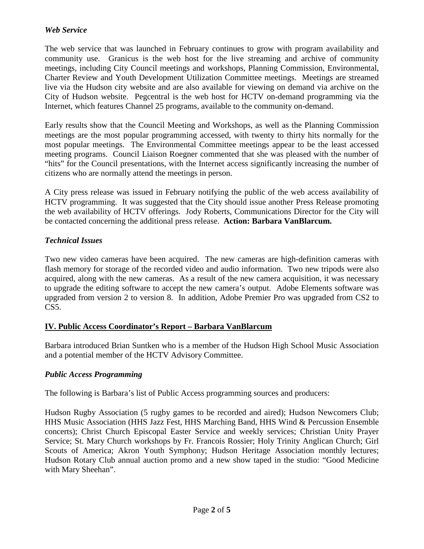## *Web Service*

The web service that was launched in February continues to grow with program availability and community use. Granicus is the web host for the live streaming and archive of community meetings, including City Council meetings and workshops, Planning Commission, Environmental, Charter Review and Youth Development Utilization Committee meetings. Meetings are streamed live via the Hudson city website and are also available for viewing on demand via archive on the City of Hudson website. Pegcentral is the web host for HCTV on-demand programming via the Internet, which features Channel 25 programs, available to the community on-demand.

Early results show that the Council Meeting and Workshops, as well as the Planning Commission meetings are the most popular programming accessed, with twenty to thirty hits normally for the most popular meetings. The Environmental Committee meetings appear to be the least accessed meeting programs. Council Liaison Roegner commented that she was pleased with the number of "hits" for the Council presentations, with the Internet access significantly increasing the number of citizens who are normally attend the meetings in person.

A City press release was issued in February notifying the public of the web access availability of HCTV programming. It was suggested that the City should issue another Press Release promoting the web availability of HCTV offerings. Jody Roberts, Communications Director for the City will be contacted concerning the additional press release. **Action: Barbara VanBlarcum.** 

## *Technical Issues*

Two new video cameras have been acquired. The new cameras are high-definition cameras with flash memory for storage of the recorded video and audio information. Two new tripods were also acquired, along with the new cameras. As a result of the new camera acquisition, it was necessary to upgrade the editing software to accept the new camera's output. Adobe Elements software was upgraded from version 2 to version 8. In addition, Adobe Premier Pro was upgraded from CS2 to  $CS<sub>5</sub>$ .

## **IV. Public Access Coordinator's Report – Barbara VanBlarcum**

Barbara introduced Brian Suntken who is a member of the Hudson High School Music Association and a potential member of the HCTV Advisory Committee.

## *Public Access Programming*

The following is Barbara's list of Public Access programming sources and producers:

Hudson Rugby Association (5 rugby games to be recorded and aired); Hudson Newcomers Club; HHS Music Association (HHS Jazz Fest, HHS Marching Band, HHS Wind & Percussion Ensemble concerts); Christ Church Episcopal Easter Service and weekly services; Christian Unity Prayer Service; St. Mary Church workshops by Fr. Francois Rossier; Holy Trinity Anglican Church; Girl Scouts of America; Akron Youth Symphony; Hudson Heritage Association monthly lectures; Hudson Rotary Club annual auction promo and a new show taped in the studio: "Good Medicine with Mary Sheehan".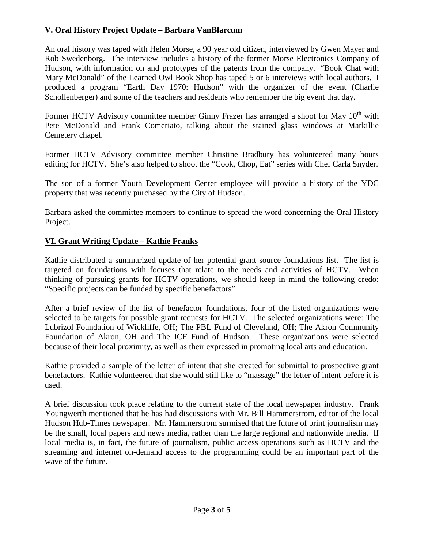# **V. Oral History Project Update – Barbara VanBlarcum**

An oral history was taped with Helen Morse, a 90 year old citizen, interviewed by Gwen Mayer and Rob Swedenborg. The interview includes a history of the former Morse Electronics Company of Hudson, with information on and prototypes of the patents from the company. "Book Chat with Mary McDonald" of the Learned Owl Book Shop has taped 5 or 6 interviews with local authors. I produced a program "Earth Day 1970: Hudson" with the organizer of the event (Charlie Schollenberger) and some of the teachers and residents who remember the big event that day.

Former HCTV Advisory committee member Ginny Frazer has arranged a shoot for May  $10<sup>th</sup>$  with Pete McDonald and Frank Comeriato, talking about the stained glass windows at Markillie Cemetery chapel.

Former HCTV Advisory committee member Christine Bradbury has volunteered many hours editing for HCTV. She's also helped to shoot the "Cook, Chop, Eat" series with Chef Carla Snyder.

The son of a former Youth Development Center employee will provide a history of the YDC property that was recently purchased by the City of Hudson.

Barbara asked the committee members to continue to spread the word concerning the Oral History Project.

# **VI. Grant Writing Update – Kathie Franks**

Kathie distributed a summarized update of her potential grant source foundations list. The list is targeted on foundations with focuses that relate to the needs and activities of HCTV. When thinking of pursuing grants for HCTV operations, we should keep in mind the following credo: "Specific projects can be funded by specific benefactors".

After a brief review of the list of benefactor foundations, four of the listed organizations were selected to be targets for possible grant requests for HCTV. The selected organizations were: The Lubrizol Foundation of Wickliffe, OH; The PBL Fund of Cleveland, OH; The Akron Community Foundation of Akron, OH and The ICF Fund of Hudson. These organizations were selected because of their local proximity, as well as their expressed in promoting local arts and education.

Kathie provided a sample of the letter of intent that she created for submittal to prospective grant benefactors. Kathie volunteered that she would still like to "massage" the letter of intent before it is used.

A brief discussion took place relating to the current state of the local newspaper industry. Frank Youngwerth mentioned that he has had discussions with Mr. Bill Hammerstrom, editor of the local Hudson Hub-Times newspaper. Mr. Hammerstrom surmised that the future of print journalism may be the small, local papers and news media, rather than the large regional and nationwide media. If local media is, in fact, the future of journalism, public access operations such as HCTV and the streaming and internet on-demand access to the programming could be an important part of the wave of the future.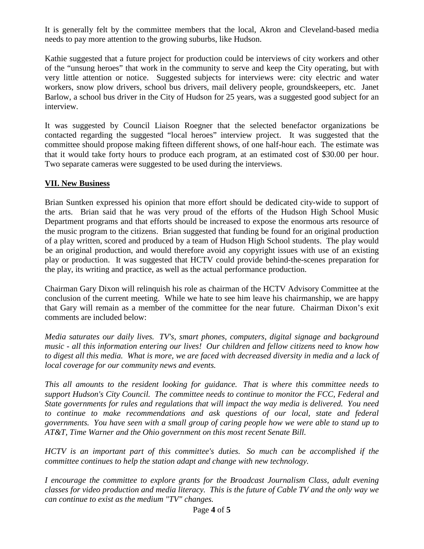It is generally felt by the committee members that the local, Akron and Cleveland-based media needs to pay more attention to the growing suburbs, like Hudson.

Kathie suggested that a future project for production could be interviews of city workers and other of the "unsung heroes" that work in the community to serve and keep the City operating, but with very little attention or notice. Suggested subjects for interviews were: city electric and water workers, snow plow drivers, school bus drivers, mail delivery people, groundskeepers, etc. Janet Barlow, a school bus driver in the City of Hudson for 25 years, was a suggested good subject for an interview.

It was suggested by Council Liaison Roegner that the selected benefactor organizations be contacted regarding the suggested "local heroes" interview project. It was suggested that the committee should propose making fifteen different shows, of one half-hour each. The estimate was that it would take forty hours to produce each program, at an estimated cost of \$30.00 per hour. Two separate cameras were suggested to be used during the interviews.

## **VII. New Business**

Brian Suntken expressed his opinion that more effort should be dedicated city-wide to support of the arts. Brian said that he was very proud of the efforts of the Hudson High School Music Department programs and that efforts should be increased to expose the enormous arts resource of the music program to the citizens. Brian suggested that funding be found for an original production of a play written, scored and produced by a team of Hudson High School students. The play would be an original production, and would therefore avoid any copyright issues with use of an existing play or production. It was suggested that HCTV could provide behind-the-scenes preparation for the play, its writing and practice, as well as the actual performance production.

Chairman Gary Dixon will relinquish his role as chairman of the HCTV Advisory Committee at the conclusion of the current meeting. While we hate to see him leave his chairmanship, we are happy that Gary will remain as a member of the committee for the near future. Chairman Dixon's exit comments are included below:

*Media saturates our daily lives. TV's, smart phones, computers, digital signage and background music - all this information entering our lives! Our children and fellow citizens need to know how to digest all this media. What is more, we are faced with decreased diversity in media and a lack of local coverage for our community news and events.*

*This all amounts to the resident looking for guidance. That is where this committee needs to support Hudson's City Council. The committee needs to continue to monitor the FCC, Federal and State governments for rules and regulations that will impact the way media is delivered. You need*  to continue to make recommendations and ask questions of our local, state and federal *governments. You have seen with a small group of caring people how we were able to stand up to AT&T, Time Warner and the Ohio government on this most recent Senate Bill.*

*HCTV is an important part of this committee's duties. So much can be accomplished if the committee continues to help the station adapt and change with new technology.*

*I encourage the committee to explore grants for the Broadcast Journalism Class, adult evening classes for video production and media literacy. This is the future of Cable TV and the only way we can continue to exist as the medium "TV" changes.*